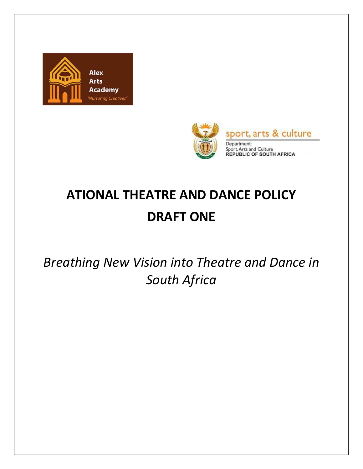



# **ATIONAL THEATRE AND DANCE POLICY DRAFT ONE**

*Breathing New Vision into Theatre and Dance in South Africa*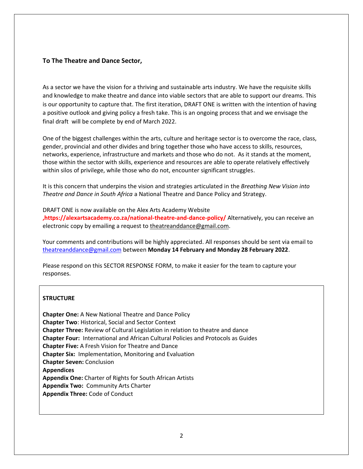#### **To The Theatre and Dance Sector,**

As a sector we have the vision for a thriving and sustainable arts industry. We have the requisite skills and knowledge to make theatre and dance into viable sectors that are able to support our dreams. This is our opportunity to capture that. The first iteration, DRAFT ONE is written with the intention of having a positive outlook and giving policy a fresh take. This is an ongoing process that and we envisage the final draft will be complete by end of March 2022.

One of the biggest challenges within the arts, culture and heritage sector is to overcome the race, class, gender, provincial and other divides and bring together those who have access to skills, resources, networks, experience, infrastructure and markets and those who do not. As it stands at the moment, those within the sector with skills, experience and resources are able to operate relatively effectively within silos of privilege, while those who do not, encounter significant struggles.

It is this concern that underpins the vision and strategies articulated in the *Breathing New Vision into Theatre and Dance in South Africa* a National Theatre and Dance Policy and Strategy.

DRAFT ONE is now available on the Alex Arts Academy Website **,https://alexartsacademy.co.za/national-theatre-and-dance-policy/** Alternatively, you can receive an electronic copy by emailing a request to [theatreanddance@gmail.com.](mailto:theatreanddance@gmail.com)

Your comments and contributions will be highly appreciated. All responses should be sent via email to [theatreanddance@gmail.com](mailto:theatreanddance@gmail.com) between **Monday 14 February and Monday 28 February 2022**.

Please respond on this SECTOR RESPONSE FORM, to make it easier for the team to capture your responses.

#### **STRUCTURE**

**Chapter One:** A New National Theatre and Dance Policy **Chapter Two**: Historical, Social and Sector Context **Chapter Three:** Review of Cultural Legislation in relation to theatre and dance **Chapter Four:** International and African Cultural Policies and Protocols as Guides **Chapter Five:** A Fresh Vision for Theatre and Dance **Chapter Six:** Implementation, Monitoring and Evaluation **Chapter Seven:** Conclusion **Appendices Appendix One:** Charter of Rights for South African Artists **Appendix Two:** Community Arts Charter **Appendix Three:** Code of Conduct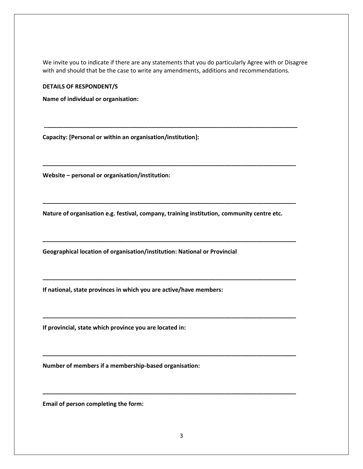We invite you to indicate if there are any statements that you do particularly Agree with or Disagree with and should that be the case to write any amendments, additions and recommendations.

**\_\_\_\_\_\_\_\_\_\_\_\_\_\_\_\_\_\_\_\_\_\_\_\_\_\_\_\_\_\_\_\_\_\_\_\_\_\_\_\_\_\_\_\_\_\_\_\_\_\_\_\_\_\_\_\_\_\_\_\_\_\_\_\_\_\_\_\_\_\_\_\_\_\_\_\_\_\_**

**\_\_\_\_\_\_\_\_\_\_\_\_\_\_\_\_\_\_\_\_\_\_\_\_\_\_\_\_\_\_\_\_\_\_\_\_\_\_\_\_\_\_\_\_\_\_\_\_\_\_\_\_\_\_\_\_\_\_\_\_\_\_\_\_\_\_\_\_\_\_\_\_\_\_\_\_\_\_**

**\_\_\_\_\_\_\_\_\_\_\_\_\_\_\_\_\_\_\_\_\_\_\_\_\_\_\_\_\_\_\_\_\_\_\_\_\_\_\_\_\_\_\_\_\_\_\_\_\_\_\_\_\_\_\_\_\_\_\_\_\_\_\_\_\_\_\_\_\_\_\_\_\_\_\_\_\_\_**

**\_\_\_\_\_\_\_\_\_\_\_\_\_\_\_\_\_\_\_\_\_\_\_\_\_\_\_\_\_\_\_\_\_\_\_\_\_\_\_\_\_\_\_\_\_\_\_\_\_\_\_\_\_\_\_\_\_\_\_\_\_\_\_\_\_\_\_\_\_\_\_\_\_\_\_\_\_\_**

**\_\_\_\_\_\_\_\_\_\_\_\_\_\_\_\_\_\_\_\_\_\_\_\_\_\_\_\_\_\_\_\_\_\_\_\_\_\_\_\_\_\_\_\_\_\_\_\_\_\_\_\_\_\_\_\_\_\_\_\_\_\_\_\_\_\_\_\_\_\_\_\_\_\_\_\_\_\_**

**\_\_\_\_\_\_\_\_\_\_\_\_\_\_\_\_\_\_\_\_\_\_\_\_\_\_\_\_\_\_\_\_\_\_\_\_\_\_\_\_\_\_\_\_\_\_\_\_\_\_\_\_\_\_\_\_\_\_\_\_\_\_\_\_\_\_\_\_\_\_\_\_\_\_\_\_\_\_**

**\_\_\_\_\_\_\_\_\_\_\_\_\_\_\_\_\_\_\_\_\_\_\_\_\_\_\_\_\_\_\_\_\_\_\_\_\_\_\_\_\_\_\_\_\_\_\_\_\_\_\_\_\_\_\_\_\_\_\_\_\_\_\_\_\_\_\_\_\_\_\_\_\_\_\_\_\_\_**

**\_\_\_\_\_\_\_\_\_\_\_\_\_\_\_\_\_\_\_\_\_\_\_\_\_\_\_\_\_\_\_\_\_\_\_\_\_\_\_\_\_\_\_\_\_\_\_\_\_\_\_\_\_\_\_\_\_\_\_\_\_\_\_\_\_\_\_\_\_\_\_\_\_\_\_\_\_\_**

**DETAILS OF RESPONDENT/S**

**Name of individual or organisation:**

**Capacity: [Personal or within an organisation/institution]:**

**Website – personal or organisation/institution:**

**Nature of organisation e.g. festival, company, training institution, community centre etc.** 

**Geographical location of organisation/institution: National or Provincial** 

**If national, state provinces in which you are active/have members:**

**If provincial, state which province you are located in:**

**Number of members if a membership-based organisation:**

**Email of person completing the form:**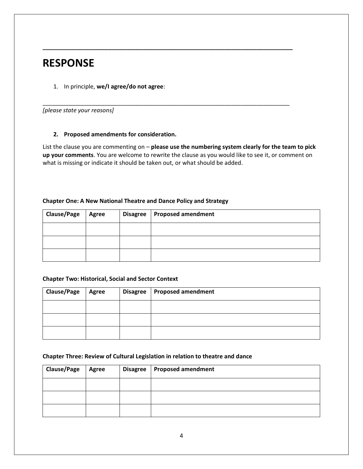# **RESPONSE**

1. In principle, **we/I agree/do not agree**:

*[please state your reasons]*

#### **2. Proposed amendments for consideration.**

List the clause you are commenting on – **please use the numbering system clearly for the team to pick up your comments**. You are welcome to rewrite the clause as you would like to see it, or comment on what is missing or indicate it should be taken out, or what should be added.

**\_\_\_\_\_\_\_\_\_\_\_\_\_\_\_\_\_\_\_\_\_\_\_\_\_\_\_\_\_\_\_\_\_\_\_\_\_\_\_\_\_\_\_\_\_\_\_\_\_\_\_\_\_\_\_\_\_\_\_\_\_\_\_\_\_\_\_\_\_\_\_\_\_\_\_\_\_**

\_\_\_\_\_\_\_\_\_\_\_\_\_\_\_\_\_\_\_\_\_\_\_\_\_\_\_\_\_\_\_\_\_\_\_\_\_\_\_\_\_\_\_\_\_\_\_\_\_\_\_\_\_\_\_\_\_\_\_\_\_\_\_\_\_\_\_\_\_\_\_\_\_\_\_\_

#### **Chapter One: A New National Theatre and Dance Policy and Strategy**

| <b>Clause/Page</b> | Agree | Disagree   Proposed amendment |
|--------------------|-------|-------------------------------|
|                    |       |                               |
|                    |       |                               |
|                    |       |                               |

#### **Chapter Two: Historical, Social and Sector Context**

| <b>Clause/Page</b> | Agree | Disagree   Proposed amendment |
|--------------------|-------|-------------------------------|
|                    |       |                               |
|                    |       |                               |
|                    |       |                               |

#### **Chapter Three: Review of Cultural Legislation in relation to theatre and dance**

| <b>Clause/Page</b> | Agree | Disagree   Proposed amendment |
|--------------------|-------|-------------------------------|
|                    |       |                               |
|                    |       |                               |
|                    |       |                               |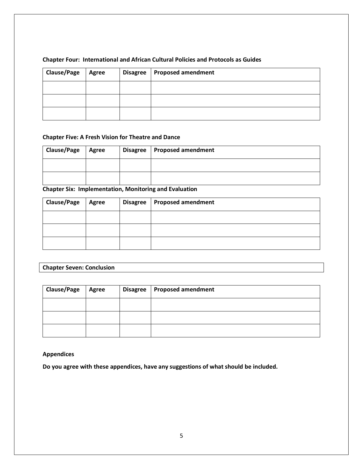| <b>Clause/Page</b> | Agree | Disagree   Proposed amendment |
|--------------------|-------|-------------------------------|
|                    |       |                               |
|                    |       |                               |
|                    |       |                               |

## **Chapter Four: International and African Cultural Policies and Protocols as Guides**

### **Chapter Five: A Fresh Vision for Theatre and Dance**

| <b>Clause/Page</b> | <b>Agree</b> | Disagree   Proposed amendment |
|--------------------|--------------|-------------------------------|
|                    |              |                               |
|                    |              |                               |

**Chapter Six: Implementation, Monitoring and Evaluation**

| <b>Clause/Page</b> | Agree | Disagree   Proposed amendment |
|--------------------|-------|-------------------------------|
|                    |       |                               |
|                    |       |                               |
|                    |       |                               |

# **Chapter Seven: Conclusion**

| <b>Clause/Page</b> | <b>Agree</b> | Disagree   Proposed amendment |
|--------------------|--------------|-------------------------------|
|                    |              |                               |
|                    |              |                               |
|                    |              |                               |

#### **Appendices**

**Do you agree with these appendices, have any suggestions of what should be included.**